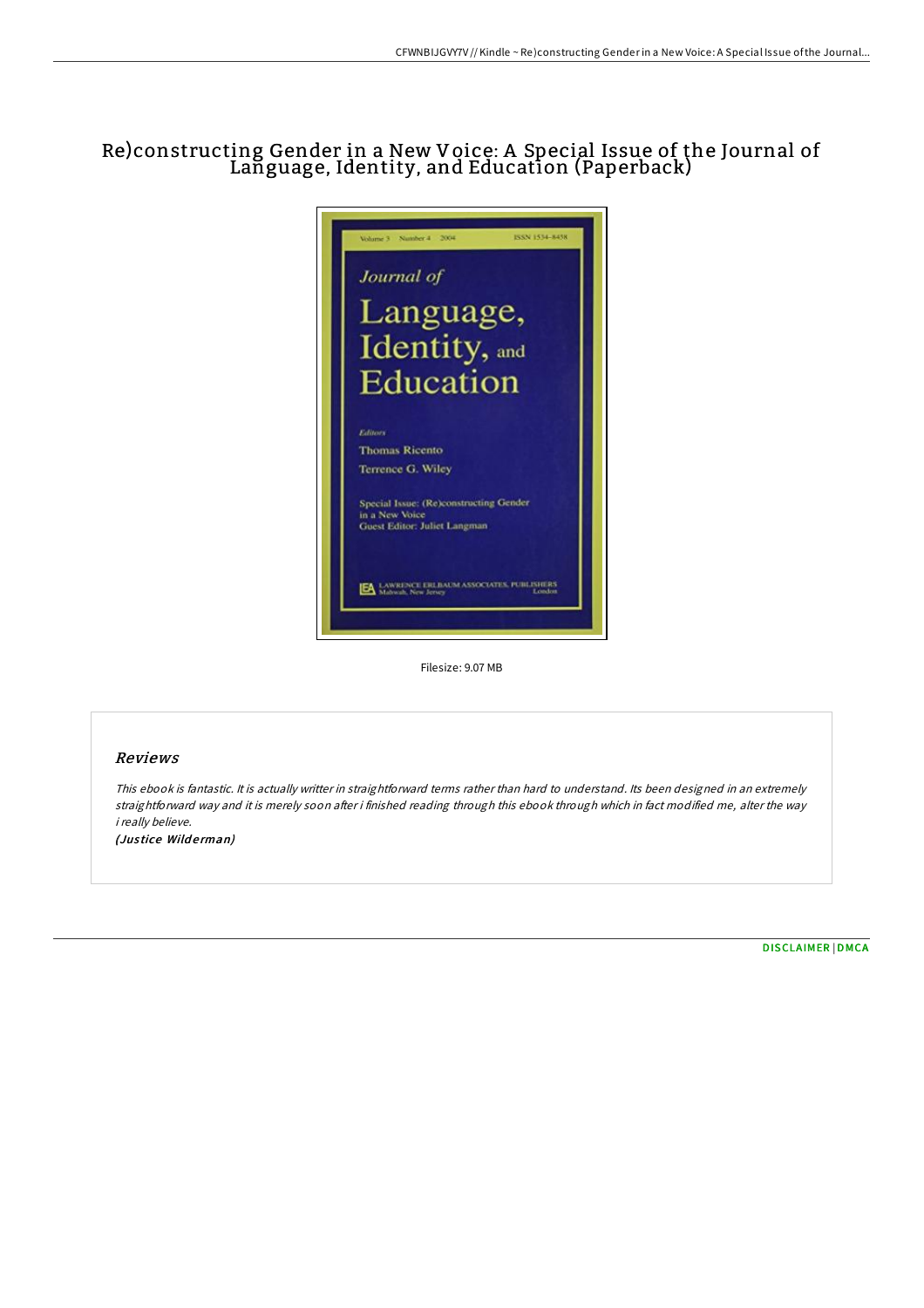## Re)constructing Gender in a New Voice: A Special Issue of the Journal of Language, Identity, and Education (Paperback)



Filesize: 9.07 MB

## Reviews

This ebook is fantastic. It is actually writter in straightforward terms rather than hard to understand. Its been designed in an extremely straightforward way and it is merely soon after i finished reading through this ebook through which in fact modified me, alter the way i really believe. (Justice Wilderman)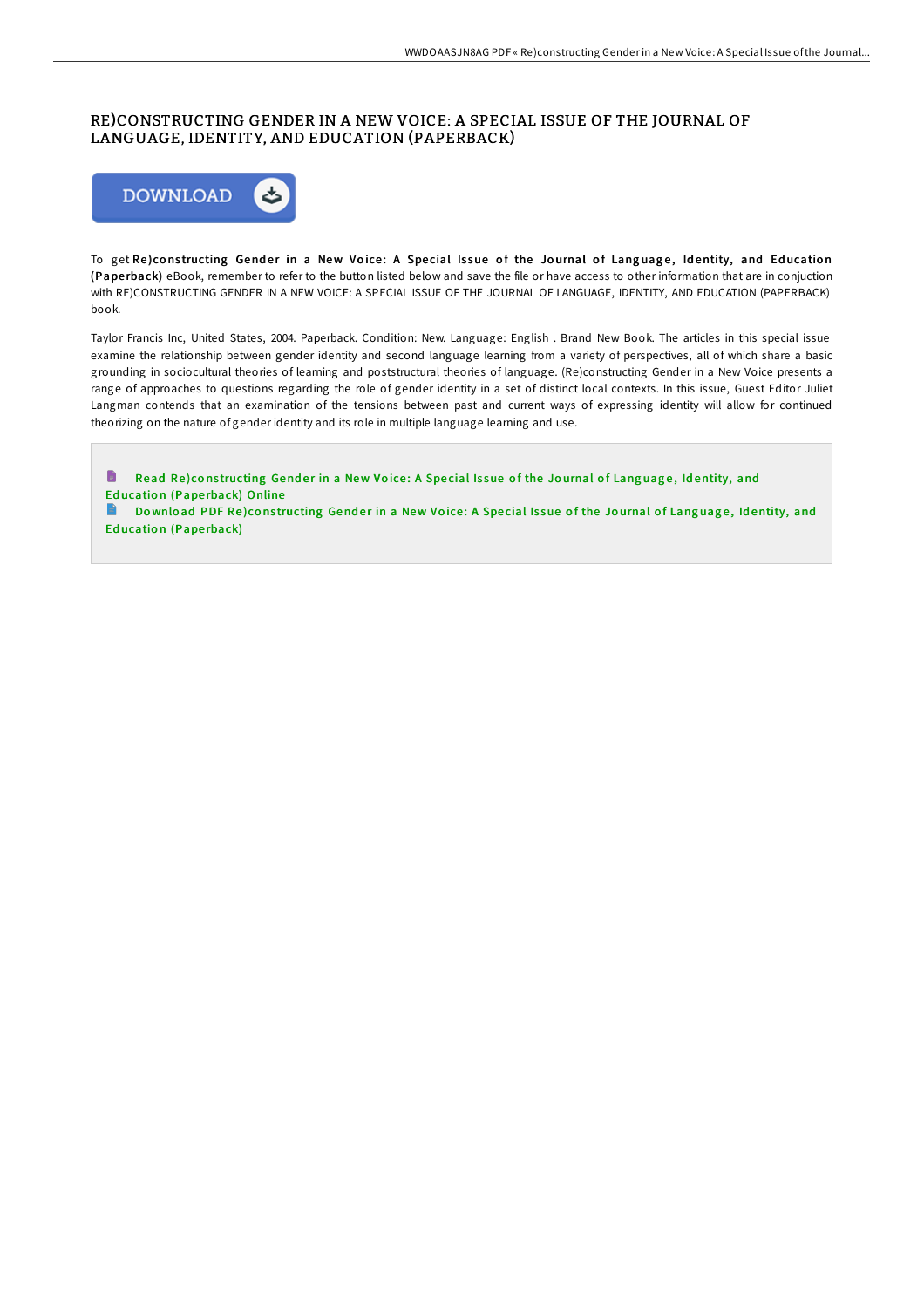## RE)CONSTRUCTING GENDER IN A NEW VOICE: A SPECIAL ISSUE OF THE JOURNAL OF LANGUAGE, IDENTITY, AND EDUCATION (PAPERBACK)



To get Re)constructing Gender in a New Voice: A Special Issue of the Journal of Language, Identity, and Education (Pape rback) eBook, remember to refer to the button listed below and save the file or have access to other information that are in conjuction with RE)CONSTRUCTING GENDER IN A NEW VOICE: A SPECIAL ISSUE OF THE JOURNAL OF LANGUAGE, IDENTITY, AND EDUCATION (PAPERBACK) book.

Taylor Francis Inc, United States, 2004. Paperback. Condition: New. Language: English . Brand New Book. The articles in this special issue examine the relationship between gender identity and second language learning from a variety of perspectives, all of which share a basic grounding in sociocultural theories of learning and poststructural theories of language. (Re)constructing Gender in a New Voice presents a range of approaches to questions regarding the role of gender identity in a set of distinct local contexts. In this issue, Guest Editor Juliet Langman contends that an examination of the tensions between past and current ways of expressing identity will allow for continued theorizing on the nature of gender identity and its role in multiple language learning and use.

B Read Re)cons[tructing](http://almighty24.tech/re-constructing-gender-in-a-new-voice-a-special-.html) Gender in a New Voice: A Special Issue of the Journal of Language, Identity, and Education (Paperback) Online Download PDF Re)cons[tructing](http://almighty24.tech/re-constructing-gender-in-a-new-voice-a-special-.html) Gender in a New Voice: A Special Issue of the Journal of Language, Identity, and Education (Paperback)